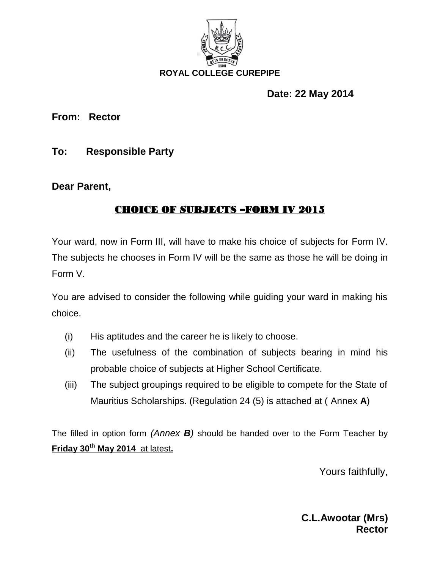

# **Date: 22 May 2014**

**From: Rector**

**To: Responsible Party**

**Dear Parent,**

# **CHOICE OF SUBJECTS –FORM IV 2015**

Your ward, now in Form III, will have to make his choice of subjects for Form IV. The subjects he chooses in Form IV will be the same as those he will be doing in Form V.

You are advised to consider the following while guiding your ward in making his choice.

- (i) His aptitudes and the career he is likely to choose.
- (ii) The usefulness of the combination of subjects bearing in mind his probable choice of subjects at Higher School Certificate.
- (iii) The subject groupings required to be eligible to compete for the State of Mauritius Scholarships. (Regulation 24 (5) is attached at ( Annex **A**)

The filled in option form *(Annex B)* should be handed over to the Form Teacher by **Friday 30th May 2014** at latest**.**

Yours faithfully,

**C.L.Awootar (Mrs) Rector**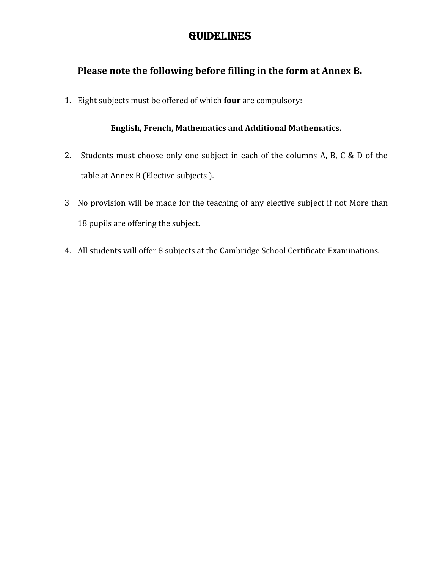## **GUIDELINES**

## **Please note the following before filling in the form at Annex B.**

1. Eight subjects must be offered of which **four** are compulsory:

### **English, French, Mathematics and Additional Mathematics.**

- 2. Students must choose only one subject in each of the columns A, B, C & D of the table at Annex B (Elective subjects ).
- 3 No provision will be made for the teaching of any elective subject if not More than 18 pupils are offering the subject.
- 4. All students will offer 8 subjects at the Cambridge School Certificate Examinations.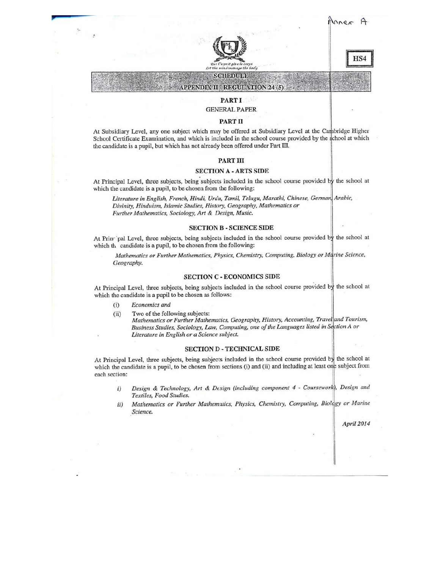

HS4

### **APPENDIX II - REGULATION 24 (5)** PART I

**SCHEDULE** 

**GENERAL PAPER** 

#### PART II

At Subsidiary Level, any one subject which may be offered at Subsidiary Level at the Cambridge Higher School Certificate Examination, and which is included in the school course provided by the school at which the candidate is a pupil, but which has not already been offered under Part III.

#### **PART III**

#### **SECTION A - ARTS SIDE**

At Principal Level, three subjects, being subjects included in the school course provided by the school at which the candidate is a pupil, to be chosen from the following:

Literature in English, French, Hindi, Urdu, Tamil, Telugu, Marathi, Chinese, German, Arabic, Divinity, Hinduism, Islamic Studies, History, Geography, Mathematics or Further Mathematics, Sociology, Art & Design, Music.

#### **SECTION B - SCIENCE SIDE**

At Principal Level, three subjects, being subjects included in the school course provided by the school at which the candidate is a pupil, to be chosen from the following:

Mathematics or Further Mathematics, Physics, Chemistry, Computing, Biology or Marine Science, Geography.

#### **SECTION C - ECONOMICS SIDE**

At Principal Level, three subjects, being subjects included in the school course provided by the school at which the candidate is a pupil to be chosen as follows:

- Economics and  $(i)$
- Two of the following subjects:  $(ii)$

Mathematics or Further Mathematics, Geography, History, Accounting, Travel and Tourism, Business Studies, Sociology, Law, Computing, one of the Languages listed in Section A or Literature in English or a Science subject.

#### **SECTION D - TECHNICAL SIDE**

At Principal Level, three subjects, being subjects included in the school course provided by the school at which the candidate is a pupil, to be chosen from sections (i) and (ii) and including at least one subject from each section:

- Design & Technology, Art & Design (including component 4 Coursework), Design and  $i)$ Textiles, Food Studies.
- Mathematics or Further Mathematics, Physics, Chemistry, Computing, Biology or Marine  $ii)$ Science.

April 2014